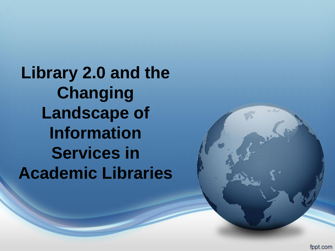**Library 2.0 and the Changing Landscape of Information Services in Academic Libraries**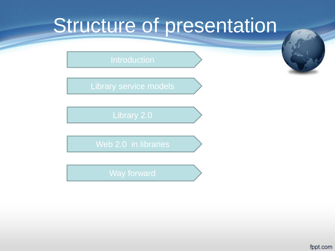# Structure of presentation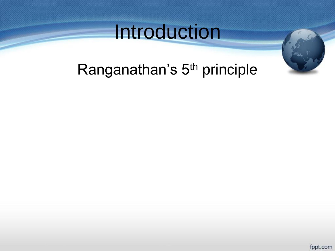# Introduction





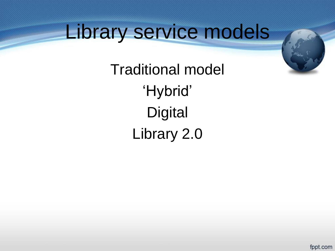# Library service models

Traditional model 'Hybrid' **Digital** Library 2.0

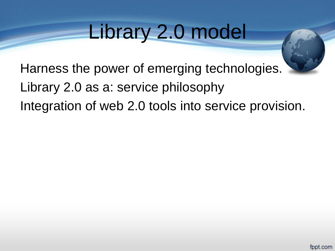# Library 2.0 model

Harness the power of emerging technologies. Library 2.0 as a: service philosophy Integration of web 2.0 tools into service provision.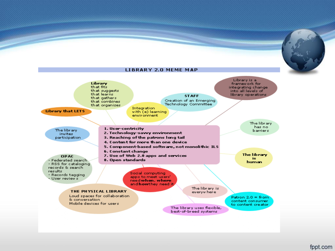

### **LIBRARY 2.0 MEME MAP**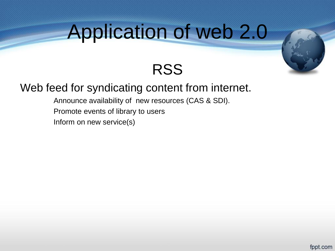

### **RSS**

### Web feed for syndicating content from internet.

Announce availability of new resources (CAS & SDI).

Promote events of library to users

Inform on new service(s)

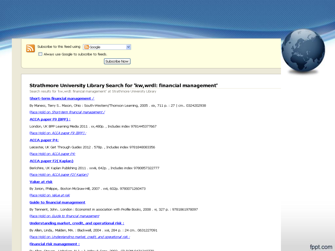|  | Subscribe to this feed using $\boxed{\color{red} \text{S} }$ Google<br>והן<br>$\Box$ Always use Google to subscribe to feeds.<br>Subscribe Now |  |
|--|------------------------------------------------------------------------------------------------------------------------------------------------|--|

### Strathmore University Library Search for 'kw, wrdl: financial management'

Search results for 'kw, wrdl: financial management' at Strathmore University Library

### Short-term financial management /

By Maness, Terry S., Mason, Ohio: South-Western/Thomson Learning, 2005 . xix, 711 p. : 27 | cm., 0324202938

Place Hold on Short-term financial management /

ACCA paper F9 (BPP):

London, UK BPP Learning Media 2011 . xx, 480p., Includes index 9781445377667

Place Hold on ACCA paper F9 (BPP) ;

**ACCA paper P4:** 

Leicester, UK Get Through Guides 2012 . 578p., Includes index 9781848083356

Place Hold on ACCA paper P4:

#### **ACCA paper F2(Kaplan)**

Berkshire, UK Kaplan Publishing 2011 . xxviii, 642p., Includes index 9780857322777

Place Hold on ACCA paper F2(Kaplan)

#### Value at risk

By Jorion, Philippe,. Boston McGraw-Hill, 2007. xvii, 602p. 9780071260473

Place Hold on Value at risk

### **Guide to financial management**

By Tennent, John.. London : Economist in association with Profile Books, 2008 . vi, 327 p. : 9781861978097

Place Hold on Guide to financial management

Understanding market, credit, and operational risk:

By Allen, Linda,. Malden, MA. : Blackwell, 2004 . xxii, 284 p. : 24 cm.. 0631227091

Place Hold on Understanding market, credit, and operational risk.:

#### **Financial risk management:**

Du Alba, Ottorial Historical ALB (19. Walter O. Otto, OOOO), CD DOM O 474 040770

fppt.com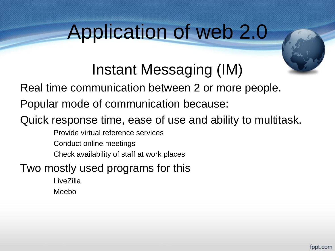## Instant Messaging (IM)

Real time communication between 2 or more people.

Popular mode of communication because:

### Quick response time, ease of use and ability to multitask.

Provide virtual reference services

Conduct online meetings

Check availability of staff at work places

Two mostly used programs for this

**LiveZilla** Meebo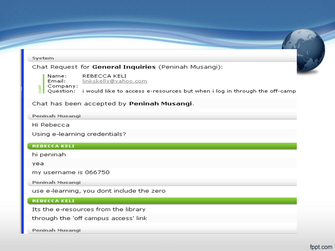

Peninah Musangi

Hi Rebecca

Using e-learning credentials?

### **REBECCA KELT**

hi peninah

yea

my username is 066750

Peninah Musangi

use e-learning, you dont include the zero

### **REBECCA KELT**

Its the e-resources from the library

through the 'off campus access' link

Peninah Musangi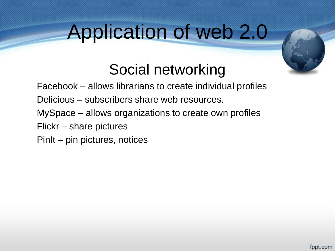

## Social networking

- Facebook allows librarians to create individual profiles
- Delicious subscribers share web resources.
- MySpace allows organizations to create own profiles
- Flickr share pictures
- PinIt pin pictures, notices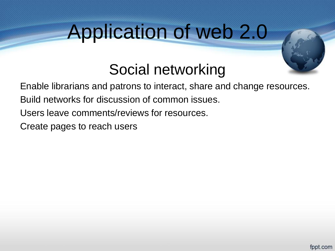### Social networking

Enable librarians and patrons to interact, share and change resources.

Build networks for discussion of common issues.

Users leave comments/reviews for resources.

Create pages to reach users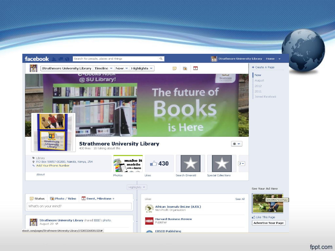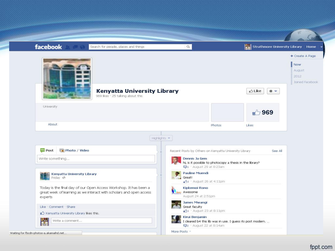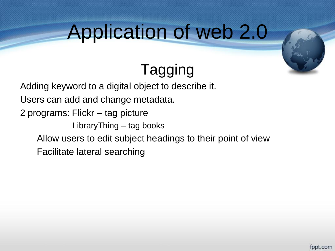

## Tagging

Adding keyword to a digital object to describe it.

Users can add and change metadata.

2 programs: Flickr – tag picture

LibraryThing – tag books

Allow users to edit subject headings to their point of view

Facilitate lateral searching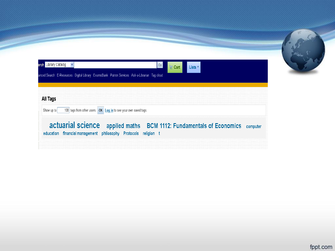| arch Library Catalog v |                                                                                                          |  |
|------------------------|----------------------------------------------------------------------------------------------------------|--|
|                        | 60<br>■ Cart ┃<br>Lists <sup>7</sup>                                                                     |  |
|                        | anced Search   E-Resources   Digital Library   ExamsBank   Patron Services   Ask-a-Librarian   Tag cloud |  |
|                        |                                                                                                          |  |
| <b>All Tags</b>        |                                                                                                          |  |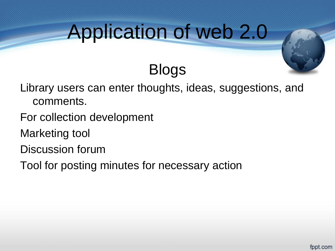Blogs



### Library users can enter thoughts, ideas, suggestions, and comments.

- For collection development
- Marketing tool
- Discussion forum
- Tool for posting minutes for necessary action